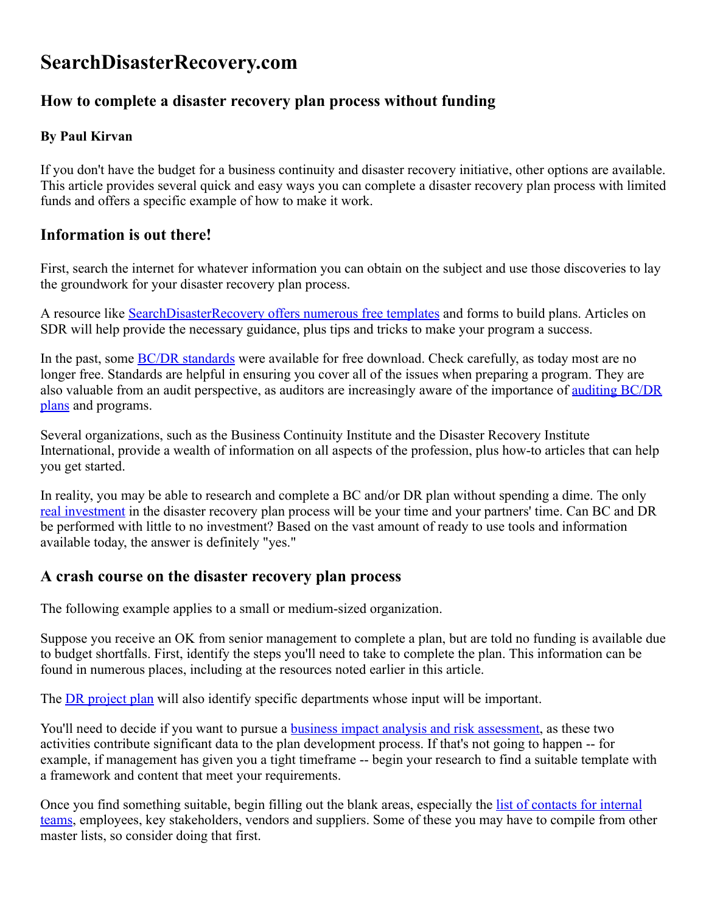# SearchDisasterRecovery.com

## How to complete a disaster recovery plan process without funding

#### By Paul Kirvan

If you don't have the budget for a business continuity and disaster recovery initiative, other options are available. This article provides several quick and easy ways you can complete a disaster recovery plan process with limited funds and offers a specific example of how to make it work.

### Information is out there!

First, search the internet for whatever information you can obtain on the subject and use those discoveries to lay the groundwork for your disaster recovery plan process.

A resource like [SearchDisasterRecovery](http://searchdisasterrecovery.techtarget.com/Disaster-recovery-and-business-continuity-planning-templates-Free-downloads) offers numerous free templates and forms to build plans. Articles on SDR will help provide the necessary guidance, plus tips and tricks to make your program a success.

In the past, some **BC/DR** [standards](http://searchdisasterrecovery.techtarget.com/tip/Todays-most-popular-business-continuity-disaster-recovery-standards) were available for free download. Check carefully, as today most are no longer free. Standards are helpful in ensuring you cover all of the issues when preparing a program. They are also valuable from an audit perspective, as auditors are [increasingly](http://searchdisasterrecovery.techtarget.com/tip/Four-tips-for-a-successful-business-continuity-audit) aware of the importance of auditing BC/DR plans and programs.

Several organizations, such as the Business Continuity Institute and the Disaster Recovery Institute International, provide a wealth of information on all aspects of the profession, plus how-to articles that can help you get started.

In reality, you may be able to research and complete a BC and/or DR plan without spending a dime. The only real [investment](http://continuity.georgetown.edu/dr) in the disaster recovery plan process will be your time and your partners' time. Can BC and DR be performed with little to no investment? Based on the vast amount of ready to use tools and information available today, the answer is definitely "yes."

#### A crash course on the disaster recovery plan process

The following example applies to a small or medium-sized organization.

Suppose you receive an OK from senior management to complete a plan, but are told no funding is available due to budget shortfalls. First, identify the steps you'll need to take to complete the plan. This information can be found in numerous places, including at the resources noted earlier in this article.

The **DR** [project](http://searchcio.techtarget.com/tip/A-disaster-recovery-business-continuity-plan-for-the-data-breach-age) plan will also identify specific departments whose input will be important.

You'll need to decide if you want to pursue a **business impact analysis and risk [assessment](http://searchdisasterrecovery.techtarget.com/tip/Business-impact-analysis-and-risk-assessment-data-in-BC-plans)**, as these two activities contribute significant data to the plan development process. If that's not going to happen -- for example, if management has given you a tight timeframe -- begin your research to find a suitable template with a framework and content that meet your requirements.

Once you find something suitable, begin filling out the blank areas, especially the list of contacts for internal teams, employees, key [stakeholders,](http://searchdisasterrecovery.techtarget.com/answer/Should-business-continuity-and-disaster-recovery-plans-involve-staff) vendors and suppliers. Some of these you may have to compile from other master lists, so consider doing that first.